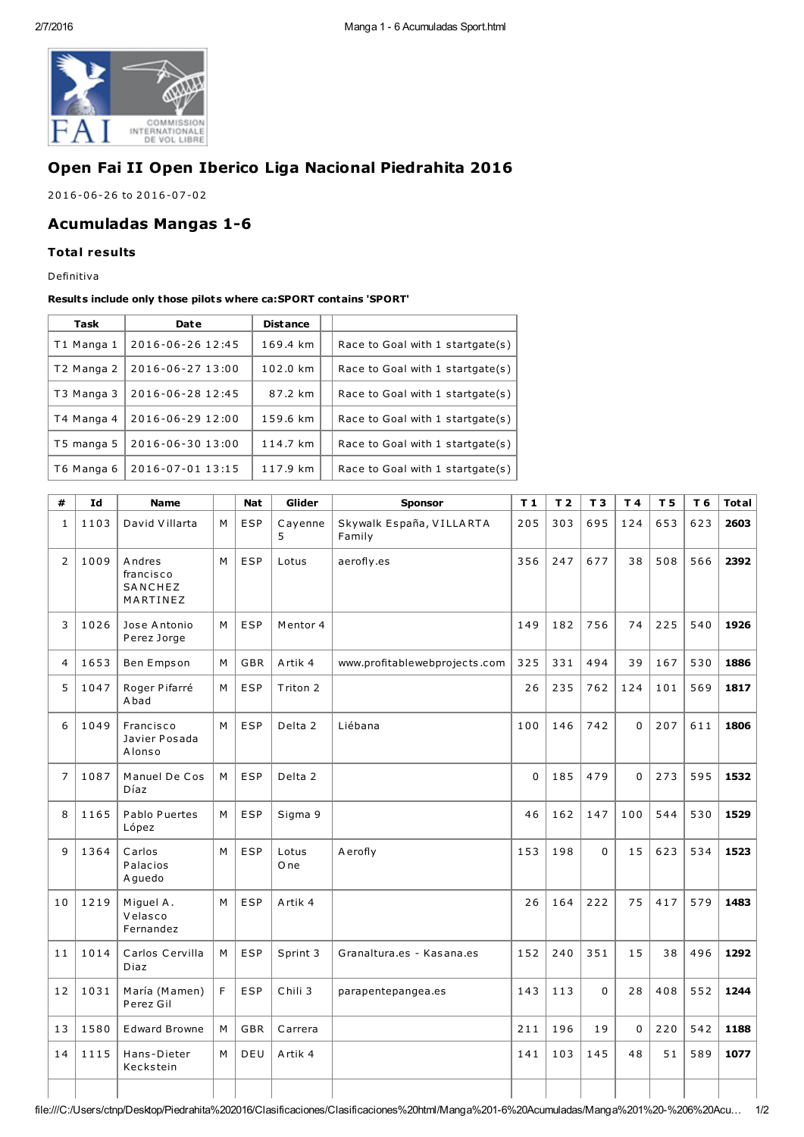

# Open Fai II Open Iberico Liga Nacional Piedrahita 2016

2016-06-26 to 2016-07-02

## **Acumuladas Mangas 1-6**

### **Total results**

Definitiva

#### Results include only those pilots where ca: SPORT contains 'SPORT'

| Task       | Date             | <b>Distance</b> |                                  |
|------------|------------------|-----------------|----------------------------------|
| T1 Manga 1 | 2016-06-26 12:45 | 169.4 km        | Race to Goal with 1 startgate(s) |
| T2 Manga 2 | 2016-06-27 13:00 | 102.0 km        | Race to Goal with 1 startgate(s) |
| T3 Manga 3 | 2016-06-28 12:45 | 87.2 km         | Race to Goal with 1 startgate(s) |
| T4 Manga 4 | 2016-06-29 12:00 | 159.6 km        | Race to Goal with 1 startgate(s) |
| T5 manga 5 | 2016-06-30 13:00 | 114.7 km        | Race to Goal with 1 startgate(s) |
| T6 Manga 6 | 2016-07-01 13:15 | 117.9 km        | Race to Goal with 1 startgate(s) |

| #              | Id   | <b>Name</b>                                |   | <b>Nat</b> | Glider             | <b>Sponsor</b>                     | T <sub>1</sub> | T <sub>2</sub> | T <sub>3</sub> | T4       | T <sub>5</sub> | T 6 | <b>Total</b> |
|----------------|------|--------------------------------------------|---|------------|--------------------|------------------------------------|----------------|----------------|----------------|----------|----------------|-----|--------------|
| $\mathbf{1}$   | 1103 | David Villarta                             | M | <b>ESP</b> | Cayenne<br>5       | Skywalk España, VILLARTA<br>Family | 205            | 303            | 695            | 124      | 653            | 623 | 2603         |
| $\overline{2}$ | 1009 | Andres<br>francisco<br>SANCHEZ<br>MARTINEZ | M | <b>ESP</b> | Lotus              | aerofly.es                         | 356            | 247            | 677            | 38       | 508            | 566 | 2392         |
| 3              | 1026 | Jose Antonio<br>Perez Jorge                | M | <b>ESP</b> | Mentor 4           |                                    | 149            | 182            | 756            | 74       | 225            | 540 | 1926         |
| 4              | 1653 | Ben Empson                                 | M | GBR        | Artik 4            | www.profitablewebprojects.com      | 325            | 331            | 494            | 39       | 167            | 530 | 1886         |
| 5              | 1047 | Roger Pifarré<br>A bad                     | M | <b>ESP</b> | Triton 2           |                                    | 26             | 235            | 762            | 124      | 101            | 569 | 1817         |
| 6              | 1049 | Francisco<br>Javier Posada<br>Alonso       | M | <b>ESP</b> | Delta 2            | Liébana                            | 100            | 146            | 742            | $\Omega$ | 207            | 611 | 1806         |
| $\overline{7}$ | 1087 | Manuel De Cos<br>Díaz                      | M | <b>ESP</b> | Delta <sub>2</sub> |                                    | $\overline{0}$ | 185            | 479            | $\Omega$ | 273            | 595 | 1532         |
| 8              | 1165 | Pablo Puertes<br>López                     | M | <b>ESP</b> | Sigma 9            |                                    | 46             | 162            | 147            | 100      | 544            | 530 | 1529         |
| 9              | 1364 | Carlos<br>Palacios<br>A guedo              | M | <b>ESP</b> | Lotus<br>O ne      | Aerofly                            | 153            | 198            | 0              | 15       | 623            | 534 | 1523         |
| 10             | 1219 | Miguel A.<br>Velasco<br>Fernandez          | M | <b>ESP</b> | Artik 4            |                                    | 26             | 164            | 222            | 75       | 417            | 579 | 1483         |
| 11             | 1014 | Carlos Cervilla<br>Diaz                    | M | <b>ESP</b> | Sprint 3           | Granaltura.es - Kasana.es          | 152            | 240            | 351            | 15       | 38             | 496 | 1292         |
| 12             | 1031 | María (Mamen)<br>Perez Gil                 | F | <b>ESP</b> | Chili 3            | parapentepangea.es                 | 143            | 113            | 0              | 28       | 408            | 552 | 1244         |
| 13             | 1580 | <b>Edward Browne</b>                       | M | GBR        | Carrera            |                                    | 211            | 196            | 19             | 0        | 220            | 542 | 1188         |
| 14             | 1115 | Hans-Dieter<br>Keckstein                   | M | DEU        | Artik 4            |                                    | 141            | 103            | 145            | 48       | 51             | 589 | 1077         |
|                |      |                                            |   |            |                    |                                    |                |                |                |          |                |     |              |